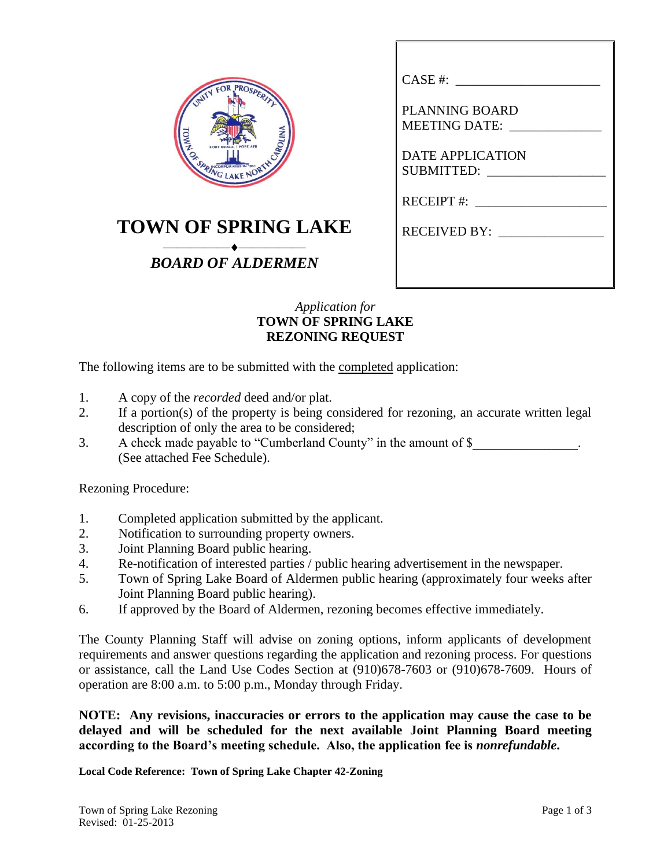|     | FOR PROSPERITY<br>INITY |          |
|-----|-------------------------|----------|
|     |                         |          |
| OWN |                         | CAROLINA |
|     | SPRING LAKE NORTH       |          |

## **TOWN OF SPRING LAKE**

## ⎯⎯⎯⎯⎯⎯⎯⎯⎯⎯ *BOARD OF ALDERMEN*

| CASE #:                                       |
|-----------------------------------------------|
| <b>PLANNING BOARD</b><br><b>MEETING DATE:</b> |
| <b>DATE APPLICATION</b><br>SUBMITTED:         |
| $RECEIPT$ #:                                  |
| RECEIVED BY:                                  |
|                                               |
|                                               |

## *Application for* **TOWN OF SPRING LAKE REZONING REQUEST**

The following items are to be submitted with the completed application:

- 1. A copy of the *recorded* deed and/or plat.
- 2. If a portion(s) of the property is being considered for rezoning, an accurate written legal description of only the area to be considered;
- 3. A check made payable to "Cumberland County" in the amount of \$ (See attached Fee Schedule).

Rezoning Procedure:

- 1. Completed application submitted by the applicant.
- 2. Notification to surrounding property owners.
- 3. Joint Planning Board public hearing.
- 4. Re-notification of interested parties / public hearing advertisement in the newspaper.
- 5. Town of Spring Lake Board of Aldermen public hearing (approximately four weeks after Joint Planning Board public hearing).
- 6. If approved by the Board of Aldermen, rezoning becomes effective immediately.

The County Planning Staff will advise on zoning options, inform applicants of development requirements and answer questions regarding the application and rezoning process. For questions or assistance, call the Land Use Codes Section at (910)678-7603 or (910)678-7609. Hours of operation are 8:00 a.m. to 5:00 p.m., Monday through Friday.

**NOTE: Any revisions, inaccuracies or errors to the application may cause the case to be delayed and will be scheduled for the next available Joint Planning Board meeting according to the Board's meeting schedule. Also, the application fee is** *nonrefundable***.**

**Local Code Reference: Town of Spring Lake Chapter 42-Zoning**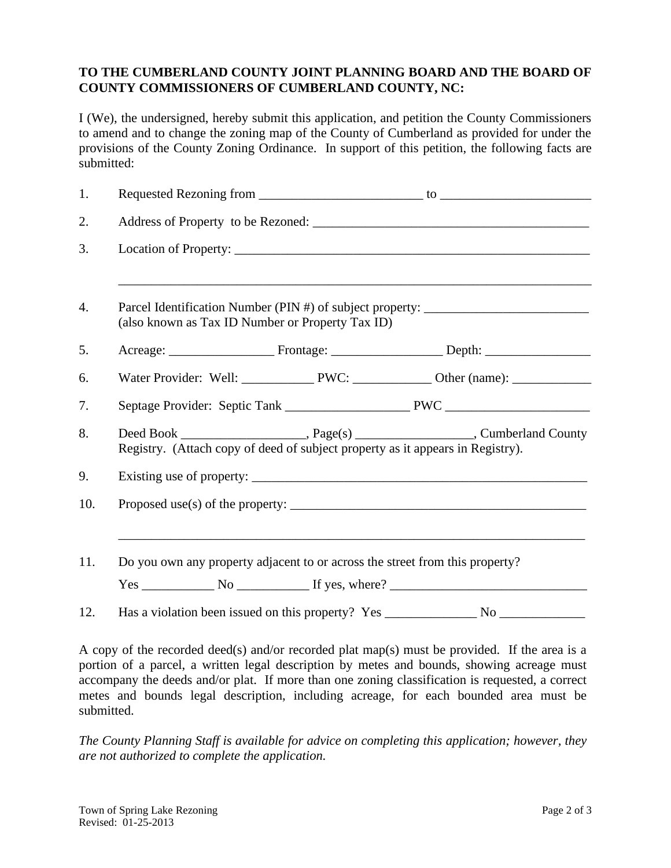## **TO THE CUMBERLAND COUNTY JOINT PLANNING BOARD AND THE BOARD OF COUNTY COMMISSIONERS OF CUMBERLAND COUNTY, NC:**

I (We), the undersigned, hereby submit this application, and petition the County Commissioners to amend and to change the zoning map of the County of Cumberland as provided for under the provisions of the County Zoning Ordinance. In support of this petition, the following facts are submitted:

| 1.               |                                                                                                                                      |  |                                      |  |  |
|------------------|--------------------------------------------------------------------------------------------------------------------------------------|--|--------------------------------------|--|--|
| 2.               |                                                                                                                                      |  |                                      |  |  |
| 3.               |                                                                                                                                      |  |                                      |  |  |
| $\overline{4}$ . | Parcel Identification Number (PIN #) of subject property: ______________________<br>(also known as Tax ID Number or Property Tax ID) |  |                                      |  |  |
| 5.               |                                                                                                                                      |  |                                      |  |  |
| 6.               |                                                                                                                                      |  |                                      |  |  |
| 7.               |                                                                                                                                      |  |                                      |  |  |
| 8.               | Registry. (Attach copy of deed of subject property as it appears in Registry).                                                       |  |                                      |  |  |
| 9.               |                                                                                                                                      |  |                                      |  |  |
| 10.              |                                                                                                                                      |  |                                      |  |  |
| 11.              | Do you own any property adjacent to or across the street from this property?                                                         |  |                                      |  |  |
|                  |                                                                                                                                      |  | $Yes \_$ No $\_$ If yes, where? $\_$ |  |  |
| 12.              |                                                                                                                                      |  |                                      |  |  |

A copy of the recorded deed(s) and/or recorded plat map(s) must be provided. If the area is a portion of a parcel, a written legal description by metes and bounds, showing acreage must accompany the deeds and/or plat. If more than one zoning classification is requested, a correct metes and bounds legal description, including acreage, for each bounded area must be submitted.

*The County Planning Staff is available for advice on completing this application; however, they are not authorized to complete the application.*